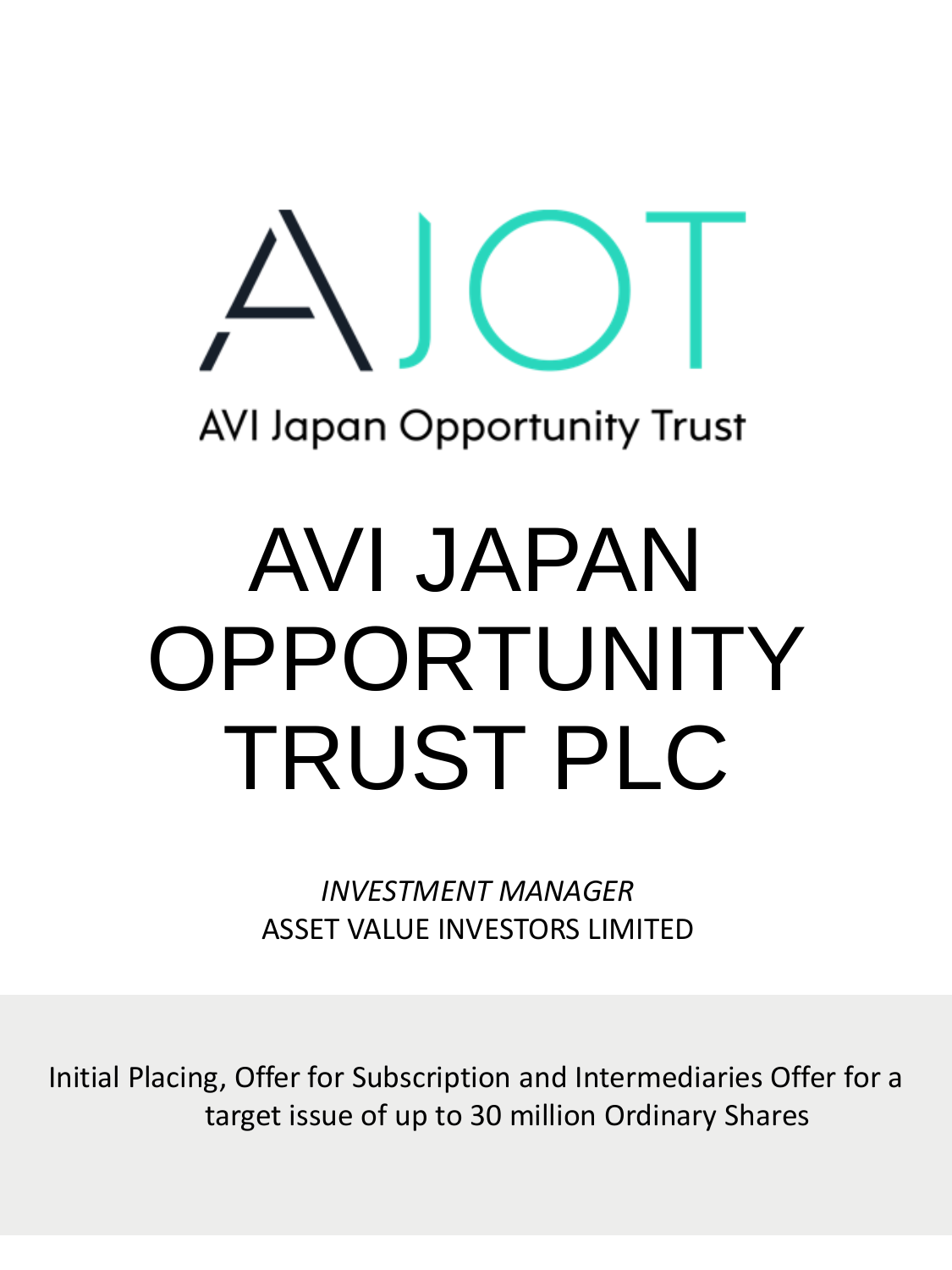# **AVI Japan Opportunity Trust**

# AVI JAPAN OPPORTUNITY TRUST PLC

*INVESTMENT MANAGER* ASSET VALUE INVESTORS LIMITED

Initial Placing, Offer for Subscription and Intermediaries Offer for a target issue of up to 30 million Ordinary Shares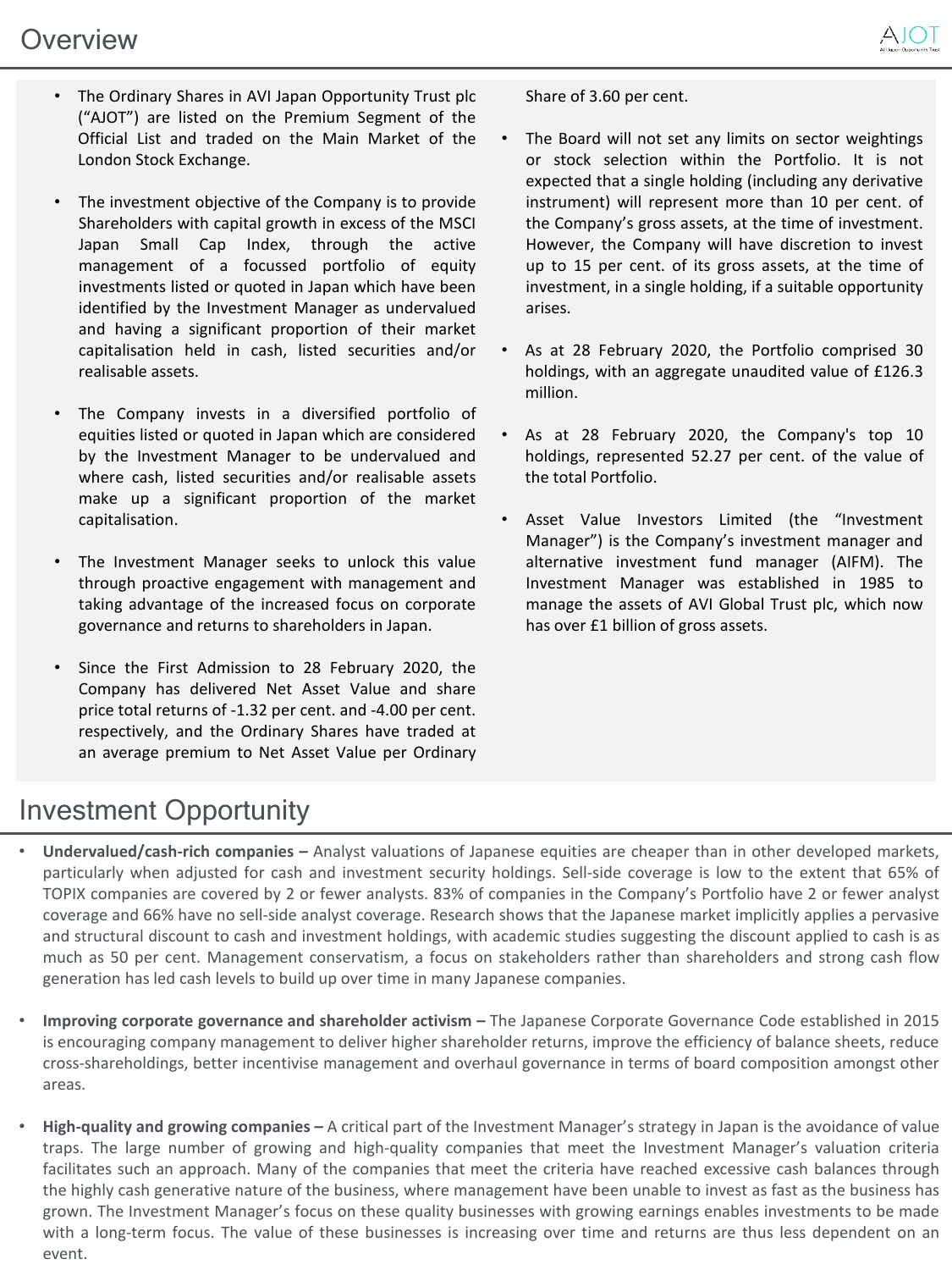- The Ordinary Shares in AVI Japan Opportunity Trust plc ("AJOT") are listed on the Premium Segment of the Official List and traded on the Main Market of the London Stock Exchange.
- The investment objective of the Company is to provide Shareholders with capital growth in excess of the MSCI Japan Small Cap Index, through the active management of a focussed portfolio of equity investments listed or quoted in Japan which have been identified by the Investment Manager as undervalued and having a significant proportion of their market capitalisation held in cash, listed securities and/or realisable assets.
- The Company invests in a diversified portfolio of equities listed or quoted in Japan which are considered by the Investment Manager to be undervalued and where cash, listed securities and/or realisable assets make up a significant proportion of the market capitalisation.
- The Investment Manager seeks to unlock this value through proactive engagement with management and taking advantage of the increased focus on corporate governance and returns to shareholders in Japan.
- Since the First Admission to 28 February 2020, the Company has delivered Net Asset Value and share price total returns of -1.32 per cent. and -4.00 per cent. respectively, and the Ordinary Shares have traded at an average premium to Net Asset Value per Ordinary

Share of 3.60 per cent.

- The Board will not set any limits on sector weightings or stock selection within the Portfolio. It is not expected that a single holding (including any derivative instrument) will represent more than 10 per cent. of the Company's gross assets, at the time of investment. However, the Company will have discretion to invest up to 15 per cent. of its gross assets, at the time of investment, in a single holding, if a suitable opportunity arises.
- As at 28 February 2020, the Portfolio comprised 30 holdings, with an aggregate unaudited value of £126.3 million.
- As at 28 February 2020, the Company's top 10 holdings, represented 52.27 per cent. of the value of the total Portfolio.
- Asset Value Investors Limited (the "Investment Manager") is the Company's investment manager and alternative investment fund manager (AIFM). The Investment Manager was established in 1985 to manage the assets of AVI Global Trust plc, which now has over £1 billion of gross assets.

### Investment Opportunity

- **Undervalued/cash-rich companies –** Analyst valuations of Japanese equities are cheaper than in other developed markets, particularly when adjusted for cash and investment security holdings. Sell-side coverage is low to the extent that 65% of TOPIX companies are covered by 2 or fewer analysts. 83% of companies in the Company's Portfolio have 2 or fewer analyst coverage and 66% have no sell-side analyst coverage. Research shows that the Japanese market implicitly applies a pervasive and structural discount to cash and investment holdings, with academic studies suggesting the discount applied to cash is as much as 50 per cent. Management conservatism, a focus on stakeholders rather than shareholders and strong cash flow generation has led cash levels to build up over time in many Japanese companies.
- **Improving corporate governance and shareholder activism –** The Japanese Corporate Governance Code established in 2015 is encouraging company management to deliver higher shareholder returns, improve the efficiency of balance sheets, reduce cross-shareholdings, better incentivise management and overhaul governance in terms of board composition amongst other areas.
- **High-quality and growing companies –** A critical part of the Investment Manager's strategy in Japan is the avoidance of value traps. The large number of growing and high-quality companies that meet the Investment Manager's valuation criteria facilitates such an approach. Many of the companies that meet the criteria have reached excessive cash balances through the highly cash generative nature of the business, where management have been unable to invest as fast as the business has grown. The Investment Manager's focus on these quality businesses with growing earnings enables investments to be made with a long-term focus. The value of these businesses is increasing over time and returns are thus less dependent on an event.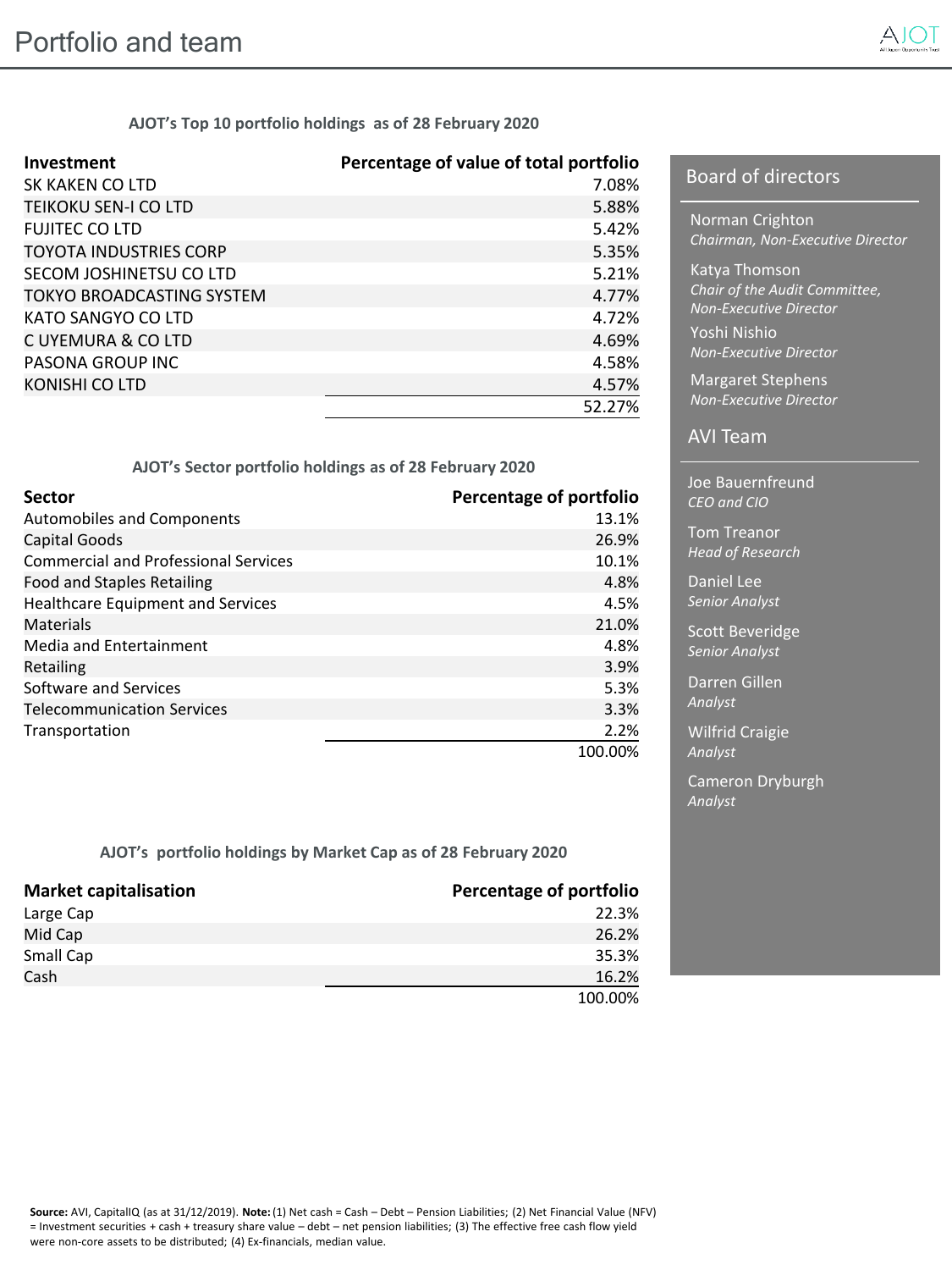

**AJOT's Top 10 portfolio holdings as of 28 February 2020**

| Investment                       | Percentage of value of total portfolio |
|----------------------------------|----------------------------------------|
| SK KAKEN CO LTD                  | 7.08%                                  |
| TEIKOKU SEN-I CO LTD             | 5.88%                                  |
| <b>FUJITEC CO LTD</b>            | 5.42%                                  |
| <b>TOYOTA INDUSTRIES CORP</b>    | 5.35%                                  |
| SECOM JOSHINETSU CO LTD          | 5.21%                                  |
| <b>TOKYO BROADCASTING SYSTEM</b> | 4.77%                                  |
| KATO SANGYO CO LTD               | 4.72%                                  |
| C UYEMURA & CO LTD               | 4.69%                                  |
| PASONA GROUP INC                 | 4.58%                                  |
| KONISHI CO LTD                   | 4.57%                                  |
|                                  | 52.27%                                 |

#### **AJOT's Sector portfolio holdings as of 28 February 2020**

| <b>Sector</b>                               | <b>Percentage of portfolio</b> |
|---------------------------------------------|--------------------------------|
| Automobiles and Components                  | 13.1%                          |
| Capital Goods                               | 26.9%                          |
| <b>Commercial and Professional Services</b> | 10.1%                          |
| Food and Staples Retailing                  | 4.8%                           |
| Healthcare Equipment and Services           | 4.5%                           |
| Materials                                   | 21.0%                          |
| Media and Entertainment                     | 4.8%                           |
| Retailing                                   | 3.9%                           |
| Software and Services                       | 5.3%                           |
| <b>Telecommunication Services</b>           | 3.3%                           |
| Transportation                              | 2.2%                           |
|                                             | 100.00%                        |

**AJOT's portfolio holdings by Market Cap as of 28 February 2020**

| <b>Market capitalisation</b> | Percentage of portfolio |
|------------------------------|-------------------------|
| Large Cap                    | 22.3%                   |
| Mid Cap                      | 26.2%                   |
| Small Cap                    | 35.3%                   |
| Cash                         | 16.2%                   |
|                              | 100.00%                 |

#### Board of directors

Norman Crighton *Chairman, Non-Executive Director*

Katya Thomson *Chair of the Audit Committee, Non-Executive Director* Yoshi Nishio *Non-Executive Director*

Margaret Stephens *Non-Executive Director*

#### AVI Team

Joe Bauernfreund *CEO and CIO* 

Tom Treanor *Head of Research*

Non-executive Roderick MacRae Daniel Lee *Senior Analyst*

Scott Beveridge *Senior Analyst*

Darren Gillen *Analyst*

Wilfrid Craigie *Analyst*

Cameron Dryburgh *Analyst*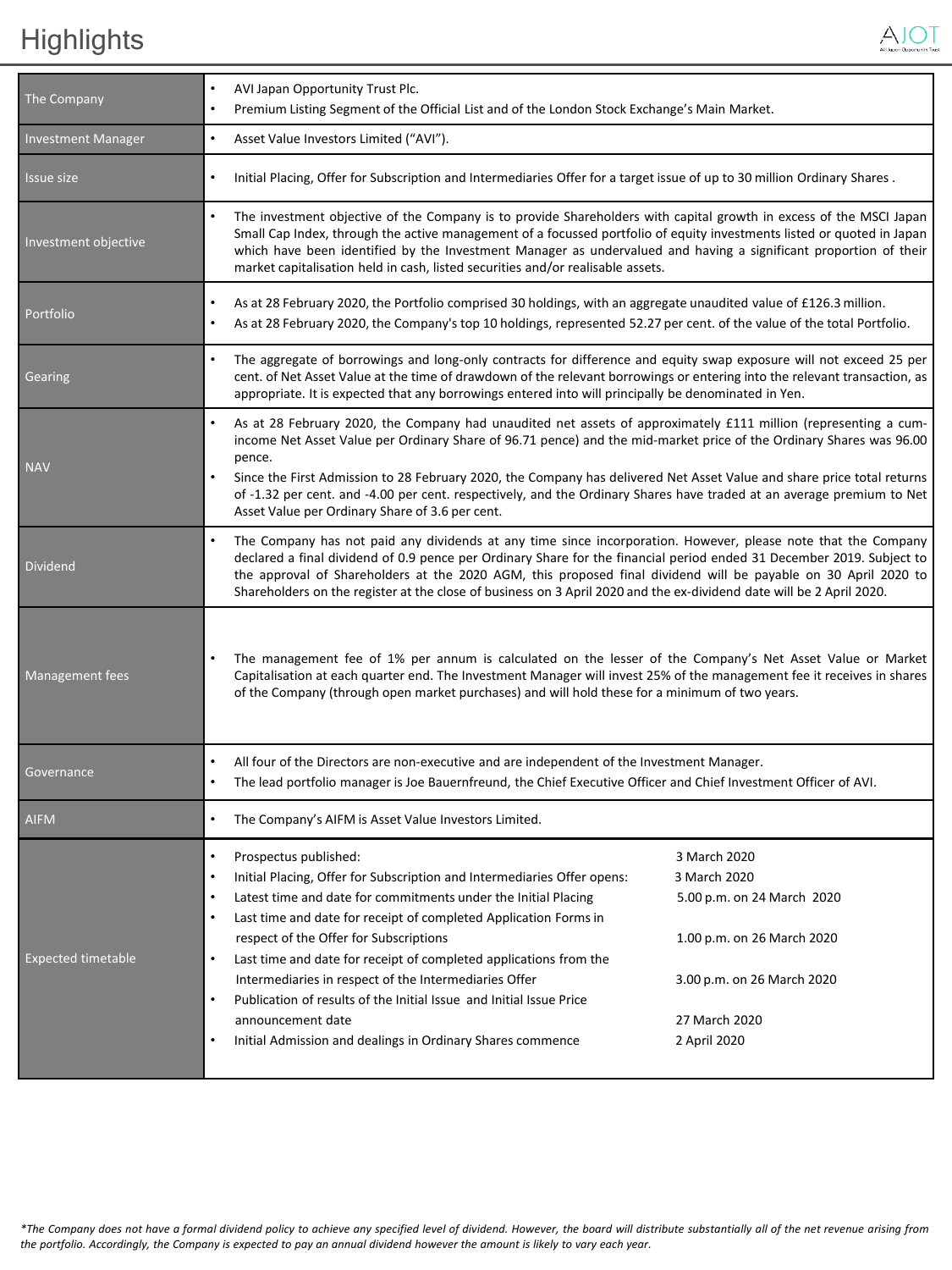# Highlights



| The Company                                                                                                                                                              | AVI Japan Opportunity Trust Plc.<br>Premium Listing Segment of the Official List and of the London Stock Exchange's Main Market.                                                                                                                                                                                                                                                                                                                                                                                                                                                                                             |                                                                                                                                                         |  |
|--------------------------------------------------------------------------------------------------------------------------------------------------------------------------|------------------------------------------------------------------------------------------------------------------------------------------------------------------------------------------------------------------------------------------------------------------------------------------------------------------------------------------------------------------------------------------------------------------------------------------------------------------------------------------------------------------------------------------------------------------------------------------------------------------------------|---------------------------------------------------------------------------------------------------------------------------------------------------------|--|
| <b>Investment Manager</b>                                                                                                                                                | Asset Value Investors Limited ("AVI").<br>$\bullet$                                                                                                                                                                                                                                                                                                                                                                                                                                                                                                                                                                          |                                                                                                                                                         |  |
| Issue size                                                                                                                                                               | Initial Placing, Offer for Subscription and Intermediaries Offer for a target issue of up to 30 million Ordinary Shares.<br>$\bullet$                                                                                                                                                                                                                                                                                                                                                                                                                                                                                        |                                                                                                                                                         |  |
| Investment objective                                                                                                                                                     | The investment objective of the Company is to provide Shareholders with capital growth in excess of the MSCI Japan<br>Small Cap Index, through the active management of a focussed portfolio of equity investments listed or quoted in Japan<br>which have been identified by the Investment Manager as undervalued and having a significant proportion of their<br>market capitalisation held in cash, listed securities and/or realisable assets.                                                                                                                                                                          |                                                                                                                                                         |  |
| Portfolio                                                                                                                                                                | As at 28 February 2020, the Portfolio comprised 30 holdings, with an aggregate unaudited value of £126.3 million.<br>$\bullet$<br>As at 28 February 2020, the Company's top 10 holdings, represented 52.27 per cent. of the value of the total Portfolio.                                                                                                                                                                                                                                                                                                                                                                    |                                                                                                                                                         |  |
| Gearing                                                                                                                                                                  | The aggregate of borrowings and long-only contracts for difference and equity swap exposure will not exceed 25 per<br>cent. of Net Asset Value at the time of drawdown of the relevant borrowings or entering into the relevant transaction, as<br>appropriate. It is expected that any borrowings entered into will principally be denominated in Yen.                                                                                                                                                                                                                                                                      |                                                                                                                                                         |  |
| <b>NAV</b>                                                                                                                                                               | As at 28 February 2020, the Company had unaudited net assets of approximately £111 million (representing a cum-<br>income Net Asset Value per Ordinary Share of 96.71 pence) and the mid-market price of the Ordinary Shares was 96.00<br>pence.<br>$\bullet$<br>Since the First Admission to 28 February 2020, the Company has delivered Net Asset Value and share price total returns                                                                                                                                                                                                                                      |                                                                                                                                                         |  |
| of -1.32 per cent. and -4.00 per cent. respectively, and the Ordinary Shares have traded at an average premium to Net<br>Asset Value per Ordinary Share of 3.6 per cent. |                                                                                                                                                                                                                                                                                                                                                                                                                                                                                                                                                                                                                              |                                                                                                                                                         |  |
| <b>Dividend</b>                                                                                                                                                          | The Company has not paid any dividends at any time since incorporation. However, please note that the Company<br>declared a final dividend of 0.9 pence per Ordinary Share for the financial period ended 31 December 2019. Subject to<br>the approval of Shareholders at the 2020 AGM, this proposed final dividend will be payable on 30 April 2020 to<br>Shareholders on the register at the close of business on 3 April 2020 and the ex-dividend date will be 2 April 2020.                                                                                                                                             |                                                                                                                                                         |  |
| Management fees                                                                                                                                                          | The management fee of 1% per annum is calculated on the lesser of the Company's Net Asset Value or Market<br>Capitalisation at each quarter end. The Investment Manager will invest 25% of the management fee it receives in shares<br>of the Company (through open market purchases) and will hold these for a minimum of two years.                                                                                                                                                                                                                                                                                        |                                                                                                                                                         |  |
| Governance                                                                                                                                                               | All four of the Directors are non-executive and are independent of the Investment Manager.<br>The lead portfolio manager is Joe Bauernfreund, the Chief Executive Officer and Chief Investment Officer of AVI.                                                                                                                                                                                                                                                                                                                                                                                                               |                                                                                                                                                         |  |
| <b>AIFM</b>                                                                                                                                                              | The Company's AIFM is Asset Value Investors Limited.                                                                                                                                                                                                                                                                                                                                                                                                                                                                                                                                                                         |                                                                                                                                                         |  |
| <b>Expected timetable</b>                                                                                                                                                | Prospectus published:<br>Initial Placing, Offer for Subscription and Intermediaries Offer opens:<br>Latest time and date for commitments under the Initial Placing<br>$\bullet$<br>Last time and date for receipt of completed Application Forms in<br>respect of the Offer for Subscriptions<br>Last time and date for receipt of completed applications from the<br>$\bullet$<br>Intermediaries in respect of the Intermediaries Offer<br>$\bullet$<br>Publication of results of the Initial Issue and Initial Issue Price<br>announcement date<br>Initial Admission and dealings in Ordinary Shares commence<br>$\bullet$ | 3 March 2020<br>3 March 2020<br>5.00 p.m. on 24 March 2020<br>1.00 p.m. on 26 March 2020<br>3.00 p.m. on 26 March 2020<br>27 March 2020<br>2 April 2020 |  |
|                                                                                                                                                                          |                                                                                                                                                                                                                                                                                                                                                                                                                                                                                                                                                                                                                              |                                                                                                                                                         |  |